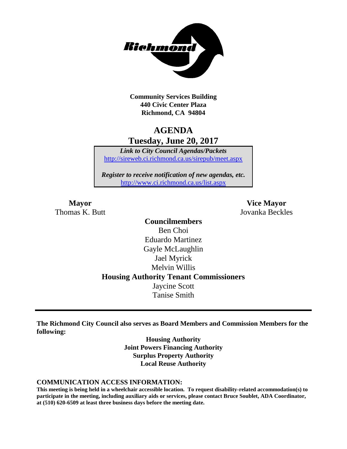

**Community Services Building 440 Civic Center Plaza Richmond, CA 94804**

## **AGENDA Tuesday, June 20, 2017**

*Link to City Council Agendas/Packets* <http://sireweb.ci.richmond.ca.us/sirepub/meet.aspx>

*Register to receive notification of new agendas, etc.* <http://www.ci.richmond.ca.us/list.aspx>

Thomas K. Butt Jovanka Beckles

**Mayor Vice Mayor**

**Councilmembers** Ben Choi Eduardo Martinez Gayle McLaughlin Jael Myrick Melvin Willis **Housing Authority Tenant Commissioners** Jaycine Scott Tanise Smith

**The Richmond City Council also serves as Board Members and Commission Members for the following:**

> **Housing Authority Joint Powers Financing Authority Surplus Property Authority Local Reuse Authority**

#### **COMMUNICATION ACCESS INFORMATION:**

**This meeting is being held in a wheelchair accessible location. To request disability-related accommodation(s) to participate in the meeting, including auxiliary aids or services, please contact Bruce Soublet, ADA Coordinator, at (510) 620-6509 at least three business days before the meeting date.**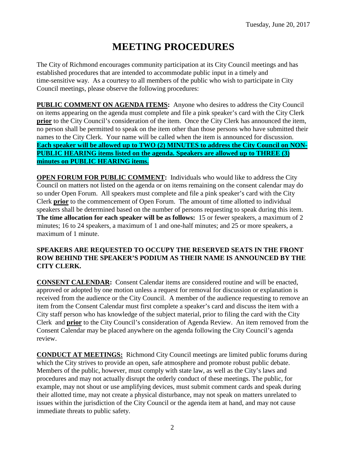# **MEETING PROCEDURES**

The City of Richmond encourages community participation at its City Council meetings and has established procedures that are intended to accommodate public input in a timely and time-sensitive way. As a courtesy to all members of the public who wish to participate in City Council meetings, please observe the following procedures:

**PUBLIC COMMENT ON AGENDA ITEMS:** Anyone who desires to address the City Council on items appearing on the agenda must complete and file a pink speaker's card with the City Clerk **prior** to the City Council's consideration of the item. Once the City Clerk has announced the item, no person shall be permitted to speak on the item other than those persons who have submitted their names to the City Clerk. Your name will be called when the item is announced for discussion. **Each speaker will be allowed up to TWO (2) MINUTES to address the City Council on NON-PUBLIC HEARING items listed on the agenda. Speakers are allowed up to THREE (3) minutes on PUBLIC HEARING items.**

**OPEN FORUM FOR PUBLIC COMMENT:** Individuals who would like to address the City Council on matters not listed on the agenda or on items remaining on the consent calendar may do so under Open Forum. All speakers must complete and file a pink speaker's card with the City Clerk **prior** to the commencement of Open Forum. The amount of time allotted to individual speakers shall be determined based on the number of persons requesting to speak during this item. **The time allocation for each speaker will be as follows:** 15 or fewer speakers, a maximum of 2 minutes; 16 to 24 speakers, a maximum of 1 and one-half minutes; and 25 or more speakers, a maximum of 1 minute.

#### **SPEAKERS ARE REQUESTED TO OCCUPY THE RESERVED SEATS IN THE FRONT ROW BEHIND THE SPEAKER'S PODIUM AS THEIR NAME IS ANNOUNCED BY THE CITY CLERK.**

**CONSENT CALENDAR:** Consent Calendar items are considered routine and will be enacted, approved or adopted by one motion unless a request for removal for discussion or explanation is received from the audience or the City Council. A member of the audience requesting to remove an item from the Consent Calendar must first complete a speaker's card and discuss the item with a City staff person who has knowledge of the subject material, prior to filing the card with the City Clerk and **prior** to the City Council's consideration of Agenda Review. An item removed from the Consent Calendar may be placed anywhere on the agenda following the City Council's agenda review.

**CONDUCT AT MEETINGS:** Richmond City Council meetings are limited public forums during which the City strives to provide an open, safe atmosphere and promote robust public debate. Members of the public, however, must comply with state law, as well as the City's laws and procedures and may not actually disrupt the orderly conduct of these meetings. The public, for example, may not shout or use amplifying devices, must submit comment cards and speak during their allotted time, may not create a physical disturbance, may not speak on matters unrelated to issues within the jurisdiction of the City Council or the agenda item at hand, and may not cause immediate threats to public safety.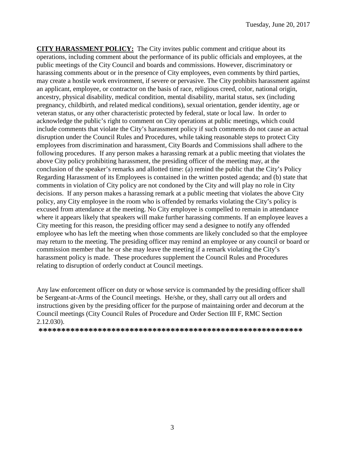**CITY HARASSMENT POLICY:** The City invites public comment and critique about its operations, including comment about the performance of its public officials and employees, at the public meetings of the City Council and boards and commissions. However, discriminatory or harassing comments about or in the presence of City employees, even comments by third parties, may create a hostile work environment, if severe or pervasive. The City prohibits harassment against an applicant, employee, or contractor on the basis of race, religious creed, color, national origin, ancestry, physical disability, medical condition, mental disability, marital status, sex (including pregnancy, childbirth, and related medical conditions), sexual orientation, gender identity, age or veteran status, or any other characteristic protected by federal, state or local law. In order to acknowledge the public's right to comment on City operations at public meetings, which could include comments that violate the City's harassment policy if such comments do not cause an actual disruption under the Council Rules and Procedures, while taking reasonable steps to protect City employees from discrimination and harassment, City Boards and Commissions shall adhere to the following procedures. If any person makes a harassing remark at a public meeting that violates the above City policy prohibiting harassment, the presiding officer of the meeting may, at the conclusion of the speaker's remarks and allotted time: (a) remind the public that the City's Policy Regarding Harassment of its Employees is contained in the written posted agenda; and (b) state that comments in violation of City policy are not condoned by the City and will play no role in City decisions. If any person makes a harassing remark at a public meeting that violates the above City policy, any City employee in the room who is offended by remarks violating the City's policy is excused from attendance at the meeting. No City employee is compelled to remain in attendance where it appears likely that speakers will make further harassing comments. If an employee leaves a City meeting for this reason, the presiding officer may send a designee to notify any offended employee who has left the meeting when those comments are likely concluded so that the employee may return to the meeting. The presiding officer may remind an employee or any council or board or commission member that he or she may leave the meeting if a remark violating the City's harassment policy is made. These procedures supplement the Council Rules and Procedures relating to disruption of orderly conduct at Council meetings.

Any law enforcement officer on duty or whose service is commanded by the presiding officer shall be Sergeant-at-Arms of the Council meetings. He/she, or they, shall carry out all orders and instructions given by the presiding officer for the purpose of maintaining order and decorum at the Council meetings (City Council Rules of Procedure and Order Section III F, RMC Section 2.12.030).

**\*\*\*\*\*\*\*\*\*\*\*\*\*\*\*\*\*\*\*\*\*\*\*\*\*\*\*\*\*\*\*\*\*\*\*\*\*\*\*\*\*\*\*\*\*\*\*\*\*\*\*\*\*\*\*\*\*\***

3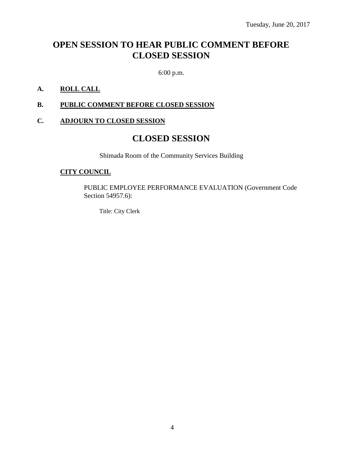## **OPEN SESSION TO HEAR PUBLIC COMMENT BEFORE CLOSED SESSION**

6:00 p.m.

#### **A. ROLL CALL**

#### **B. PUBLIC COMMENT BEFORE CLOSED SESSION**

#### **C. ADJOURN TO CLOSED SESSION**

### **CLOSED SESSION**

Shimada Room of the Community Services Building

#### **CITY COUNCIL**

PUBLIC EMPLOYEE PERFORMANCE EVALUATION (Government Code Section 54957.6):

Title: City Clerk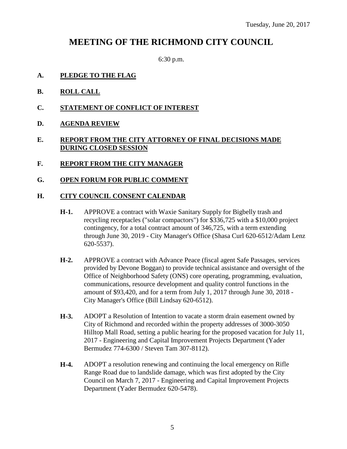### **MEETING OF THE RICHMOND CITY COUNCIL**

6:30 p.m.

- **A. PLEDGE TO THE FLAG**
- **B. ROLL CALL**
- **C. STATEMENT OF CONFLICT OF INTEREST**
- **D. AGENDA REVIEW**

#### **E. REPORT FROM THE CITY ATTORNEY OF FINAL DECISIONS MADE DURING CLOSED SESSION**

- **F. REPORT FROM THE CITY MANAGER**
- **G. OPEN FORUM FOR PUBLIC COMMENT**

#### **H. CITY COUNCIL CONSENT CALENDAR**

- **H-1.** APPROVE a contract with Waxie Sanitary Supply for Bigbelly trash and recycling receptacles ("solar compactors") for \$336,725 with a \$10,000 project contingency, for a total contract amount of 346,725, with a term extending through June 30, 2019 - City Manager's Office (Shasa Curl 620-6512/Adam Lenz 620-5537).
- **H-2.** APPROVE a contract with Advance Peace (fiscal agent Safe Passages, services provided by Devone Boggan) to provide technical assistance and oversight of the Office of Neighborhood Safety (ONS) core operating, programming, evaluation, communications, resource development and quality control functions in the amount of \$93,420, and for a term from July 1, 2017 through June 30, 2018 - City Manager's Office (Bill Lindsay 620-6512).
- **H-3.** ADOPT a Resolution of Intention to vacate a storm drain easement owned by City of Richmond and recorded within the property addresses of 3000-3050 Hilltop Mall Road, setting a public hearing for the proposed vacation for July 11, 2017 - Engineering and Capital Improvement Projects Department (Yader Bermudez 774-6300 / Steven Tam 307-8112).
- **H-4.** ADOPT a resolution renewing and continuing the local emergency on Rifle Range Road due to landslide damage, which was first adopted by the City Council on March 7, 2017 - Engineering and Capital Improvement Projects Department (Yader Bermudez 620-5478).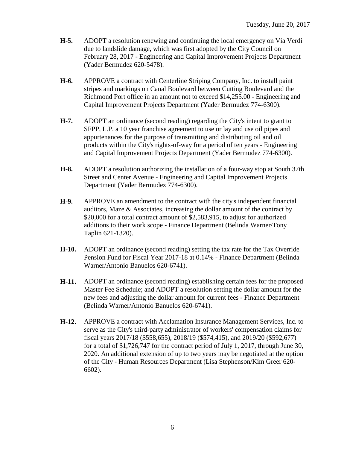- **H-5.** ADOPT a resolution renewing and continuing the local emergency on Via Verdi due to landslide damage, which was first adopted by the City Council on February 28, 2017 - Engineering and Capital Improvement Projects Department (Yader Bermudez 620-5478).
- **H-6.** APPROVE a contract with Centerline Striping Company, Inc. to install paint stripes and markings on Canal Boulevard between Cutting Boulevard and the Richmond Port office in an amount not to exceed \$14,255.00 - Engineering and Capital Improvement Projects Department (Yader Bermudez 774-6300).
- **H-7.** ADOPT an ordinance (second reading) regarding the City's intent to grant to SFPP, L.P. a 10 year franchise agreement to use or lay and use oil pipes and appurtenances for the purpose of transmitting and distributing oil and oil products within the City's rights-of-way for a period of ten years - Engineering and Capital Improvement Projects Department (Yader Bermudez 774-6300).
- **H-8.** ADOPT a resolution authorizing the installation of a four-way stop at South 37th Street and Center Avenue - Engineering and Capital Improvement Projects Department (Yader Bermudez 774-6300).
- **H-9.** APPROVE an amendment to the contract with the city's independent financial auditors, Maze & Associates, increasing the dollar amount of the contract by \$20,000 for a total contract amount of \$2,583,915, to adjust for authorized additions to their work scope - Finance Department (Belinda Warner/Tony Taplin 621-1320).
- **H-10.** ADOPT an ordinance (second reading) setting the tax rate for the Tax Override Pension Fund for Fiscal Year 2017-18 at 0.14% - Finance Department (Belinda Warner/Antonio Banuelos 620-6741).
- **H-11.** ADOPT an ordinance (second reading) establishing certain fees for the proposed Master Fee Schedule; and ADOPT a resolution setting the dollar amount for the new fees and adjusting the dollar amount for current fees - Finance Department (Belinda Warner/Antonio Banuelos 620-6741).
- **H-12.** APPROVE a contract with Acclamation Insurance Management Services, Inc. to serve as the City's third-party administrator of workers' compensation claims for fiscal years 2017/18 (\$558,655), 2018/19 (\$574,415), and 2019/20 (\$592,677) for a total of \$1,726,747 for the contract period of July 1, 2017, through June 30, 2020. An additional extension of up to two years may be negotiated at the option of the City - Human Resources Department (Lisa Stephenson/Kim Greer 620- 6602).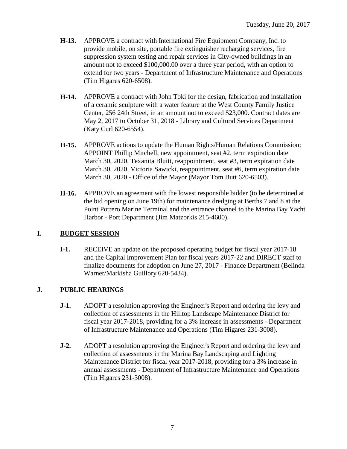- **H-13.** APPROVE a contract with International Fire Equipment Company, Inc. to provide mobile, on site, portable fire extinguisher recharging services, fire suppression system testing and repair services in City-owned buildings in an amount not to exceed \$100,000.00 over a three year period, with an option to extend for two years - Department of Infrastructure Maintenance and Operations (Tim Higares 620-6508).
- **H-14.** APPROVE a contract with John Toki for the design, fabrication and installation of a ceramic sculpture with a water feature at the West County Family Justice Center, 256 24th Street, in an amount not to exceed \$23,000. Contract dates are May 2, 2017 to October 31, 2018 - Library and Cultural Services Department (Katy Curl 620-6554).
- **H-15.** APPROVE actions to update the Human Rights/Human Relations Commission; APPOINT Phillip Mitchell, new appointment, seat #2, term expiration date March 30, 2020, Texanita Bluitt, reappointment, seat #3, term expiration date March 30, 2020, Victoria Sawicki, reappointment, seat #6, term expiration date March 30, 2020 - Office of the Mayor (Mayor Tom Butt 620-6503).
- **H-16.** APPROVE an agreement with the lowest responsible bidder (to be determined at the bid opening on June 19th) for maintenance dredging at Berths 7 and 8 at the Point Potrero Marine Terminal and the entrance channel to the Marina Bay Yacht Harbor - Port Department (Jim Matzorkis 215-4600).

#### **I. BUDGET SESSION**

**I-1.** RECEIVE an update on the proposed operating budget for fiscal year 2017-18 and the Capital Improvement Plan for fiscal years 2017-22 and DIRECT staff to finalize documents for adoption on June 27, 2017 - Finance Department (Belinda Warner/Markisha Guillory 620-5434).

### **J. PUBLIC HEARINGS**

- **J-1.** ADOPT a resolution approving the Engineer's Report and ordering the levy and collection of assessments in the Hilltop Landscape Maintenance District for fiscal year 2017-2018, providing for a 3% increase in assessments - Department of Infrastructure Maintenance and Operations (Tim Higares 231-3008).
- **J-2.** ADOPT a resolution approving the Engineer's Report and ordering the levy and collection of assessments in the Marina Bay Landscaping and Lighting Maintenance District for fiscal year 2017-2018, providing for a 3% increase in annual assessments - Department of Infrastructure Maintenance and Operations (Tim Higares 231-3008).